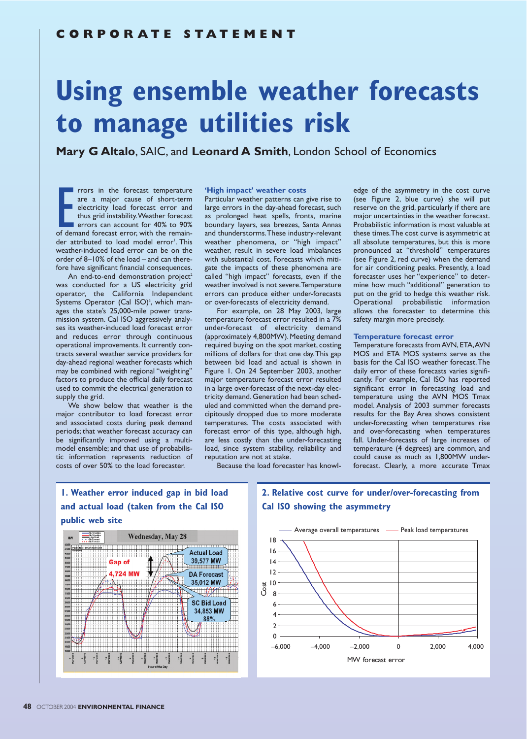# **Using ensemble weather forecasts to manage utilities risk**

**Mary G Altalo**, SAIC, and **Leonard A Smith**, London School of Economics

From the forecast temperature<br>
are a major cause of short-term<br>
electricity load forecast error and<br>
thus grid instability. Weather forecast<br>
errors can account for 40% to 90%<br>
of demand forecast error, with the remain-<br>
d rrors in the forecast temperature are a major cause of short-term electricity load forecast error and thus grid instability.Weather forecast errors can account for 40% to 90% der attributed to load model error'. This weather-induced load error can be on the order of 8–10% of the load – and can therefore have significant financial consequences.

An end-to-end demonstration project<sup>2</sup> was conducted for a US electricity grid operator, the California Independent Systems Operator (Cal ISO)<sup>3</sup>, which manages the state's 25,000-mile power transmission system. Cal ISO aggressively analyses its weather-induced load forecast error and reduces error through continuous operational improvements. It currently contracts several weather service providers for day-ahead regional weather forecasts which may be combined with regional "weighting" factors to produce the official daily forecast used to commit the electrical generation to supply the grid.

We show below that weather is the major contributor to load forecast error and associated costs during peak demand periods; that weather forecast accuracy can be significantly improved using a multimodel ensemble; and that use of probabilistic information represents reduction of costs of over 50% to the load forecaster.

## **'High impact' weather costs**

Particular weather patterns can give rise to large errors in the day-ahead forecast, such as prolonged heat spells, fronts, marine boundary layers, sea breezes, Santa Annas and thunderstorms.These industry-relevant weather phenomena, or "high impact" weather, result in severe load imbalances with substantial cost. Forecasts which mitigate the impacts of these phenomena are called "high impact" forecasts, even if the weather involved is not severe.Temperature errors can produce either under-forecasts or over-forecasts of electricity demand.

For example, on 28 May 2003, large temperature forecast error resulted in a 7% under-forecast of electricity demand (approximately 4,800MW). Meeting demand required buying on the spot market, costing millions of dollars for that one day.This gap between bid load and actual is shown in Figure 1. On 24 September 2003, another major temperature forecast error resulted in a large over-forecast of the next-day electricity demand. Generation had been scheduled and committed when the demand precipitously dropped due to more moderate temperatures. The costs associated with forecast error of this type, although high, are less costly than the under-forecasting load, since system stability, reliability and reputation are not at stake.

edge of the asymmetry in the cost curve (see Figure 2, blue curve) she will put reserve on the grid, particularly if there are major uncertainties in the weather forecast. Probabilistic information is most valuable at these times.The cost curve is asymmetric at all absolute temperatures, but this is more pronounced at "threshold" temperatures (see Figure 2, red curve) when the demand for air conditioning peaks. Presently, a load forecaster uses her "experience" to determine how much "additional" generation to put on the grid to hedge this weather risk. Operational probabilistic information allows the forecaster to determine this safety margin more precisely.

#### **Temperature forecast error**

Temperature forecasts from AVN, ETA,AVN MOS and ETA MOS systems serve as the basis for the Cal ISO weather forecast.The daily error of these forecasts varies significantly. For example, Cal ISO has reported significant error in forecasting load and temperature using the AVN MOS Tmax model. Analysis of 2003 summer forecasts results for the Bay Area shows consistent under-forecasting when temperatures rise and over-forecasting when temperatures fall. Under-forecasts of large increases of temperature (4 degrees) are common, and could cause as much as 1,800MW underforecast. Clearly, a more accurate Tmax

Because the load forecaster has knowl-

# **1. Weather error induced gap in bid load and actual load (taken from the Cal ISO public web site**



# **2. Relative cost curve for under/over-forecasting from Cal ISO showing the asymmetry**